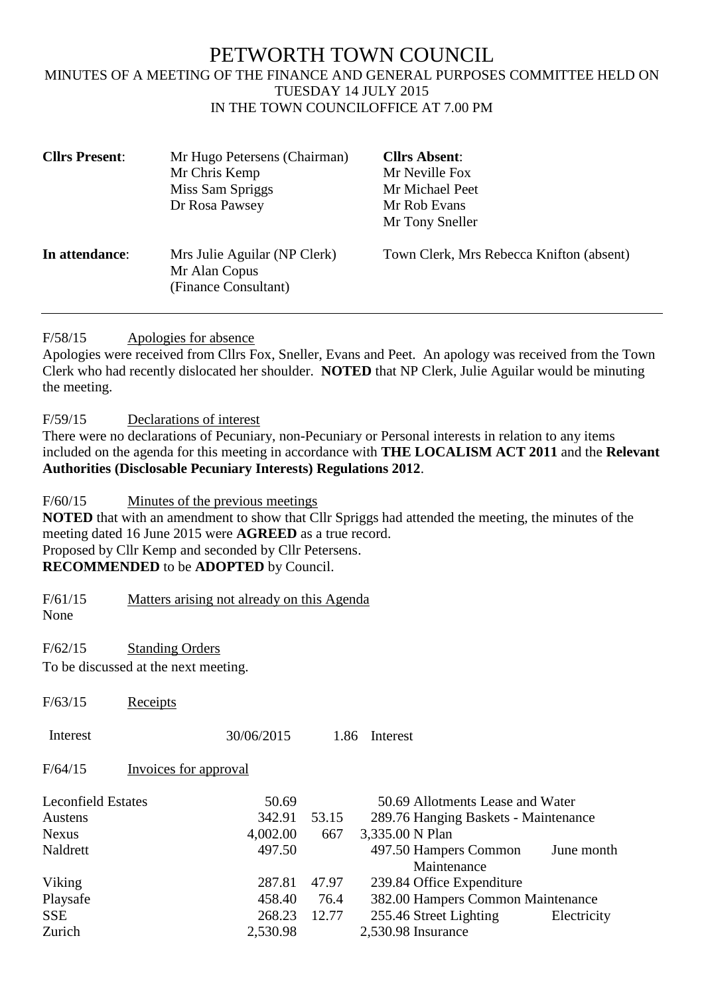## PETWORTH TOWN COUNCIL MINUTES OF A MEETING OF THE FINANCE AND GENERAL PURPOSES COMMITTEE HELD ON TUESDAY 14 JULY 2015 IN THE TOWN COUNCILOFFICE AT 7.00 PM

| <b>Cllrs Present:</b> | Mr Hugo Petersens (Chairman)                                          | <b>Cllrs Absent:</b>                     |
|-----------------------|-----------------------------------------------------------------------|------------------------------------------|
|                       | Mr Chris Kemp                                                         | Mr Neville Fox                           |
|                       | Miss Sam Spriggs                                                      | Mr Michael Peet                          |
|                       | Dr Rosa Pawsey                                                        | Mr Rob Evans                             |
|                       |                                                                       | Mr Tony Sneller                          |
| In attendance:        | Mrs Julie Aguilar (NP Clerk)<br>Mr Alan Copus<br>(Finance Consultant) | Town Clerk, Mrs Rebecca Knifton (absent) |

F/58/15 Apologies for absence

Apologies were received from Cllrs Fox, Sneller, Evans and Peet. An apology was received from the Town Clerk who had recently dislocated her shoulder. **NOTED** that NP Clerk, Julie Aguilar would be minuting the meeting.

F/59/15 Declarations of interest

There were no declarations of Pecuniary, non-Pecuniary or Personal interests in relation to any items included on the agenda for this meeting in accordance with **THE LOCALISM ACT 2011** and the **Relevant Authorities (Disclosable Pecuniary Interests) Regulations 2012**.

F/60/15 Minutes of the previous meetings

**NOTED** that with an amendment to show that Cllr Spriggs had attended the meeting, the minutes of the meeting dated 16 June 2015 were **AGREED** as a true record. Proposed by Cllr Kemp and seconded by Cllr Petersens. **RECOMMENDED** to be **ADOPTED** by Council.

F/61/15 Matters arising not already on this Agenda

None

F/62/15 Standing Orders

 $F/63/15$  Receipts

To be discussed at the next meeting.

| 170 <i>JI</i> 19                                     | roccipus              |                              |               |                                                                                             |             |
|------------------------------------------------------|-----------------------|------------------------------|---------------|---------------------------------------------------------------------------------------------|-------------|
| Interest                                             |                       | 30/06/2015                   | 1.86          | Interest                                                                                    |             |
| F/64/15                                              | Invoices for approval |                              |               |                                                                                             |             |
| <b>Leconfield Estates</b><br>Austens<br><b>Nexus</b> |                       | 50.69<br>342.91<br>4,002.00  | 53.15<br>667  | 50.69 Allotments Lease and Water<br>289.76 Hanging Baskets - Maintenance<br>3,335.00 N Plan |             |
| Naldrett                                             |                       | 497.50                       |               | 497.50 Hampers Common<br>Maintenance                                                        | June month  |
| Viking                                               |                       | 287.81                       | 47.97         | 239.84 Office Expenditure                                                                   |             |
| Playsafe<br><b>SSE</b><br>Zurich                     |                       | 458.40<br>268.23<br>2,530.98 | 76.4<br>12.77 | 382.00 Hampers Common Maintenance<br>255.46 Street Lighting<br>2,530.98 Insurance           | Electricity |
|                                                      |                       |                              |               |                                                                                             |             |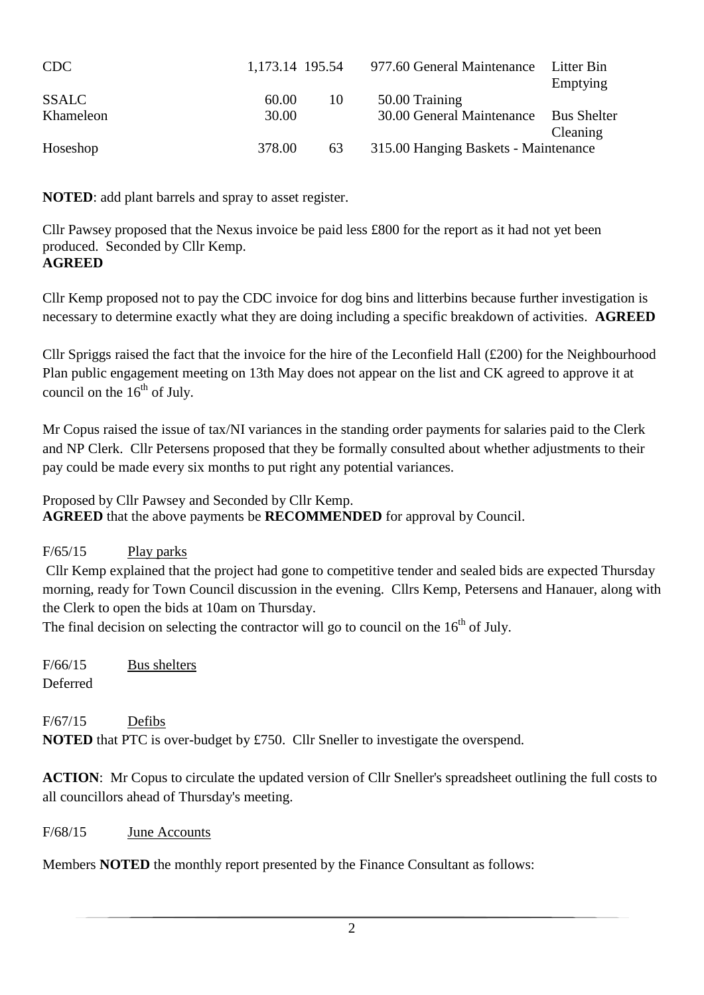| CDC          | 1,173.14 195.54 |    | 977.60 General Maintenance           | Litter Bin<br>Emptying         |
|--------------|-----------------|----|--------------------------------------|--------------------------------|
| <b>SSALC</b> | 60.00           | 10 | 50.00 Training                       |                                |
| Khameleon    | 30.00           |    | 30.00 General Maintenance            | <b>Bus Shelter</b><br>Cleaning |
| Hoseshop     | 378.00          | 63 | 315.00 Hanging Baskets - Maintenance |                                |

**NOTED**: add plant barrels and spray to asset register.

Cllr Pawsey proposed that the Nexus invoice be paid less £800 for the report as it had not yet been produced. Seconded by Cllr Kemp. **AGREED**

Cllr Kemp proposed not to pay the CDC invoice for dog bins and litterbins because further investigation is necessary to determine exactly what they are doing including a specific breakdown of activities. **AGREED**

Cllr Spriggs raised the fact that the invoice for the hire of the Leconfield Hall (£200) for the Neighbourhood Plan public engagement meeting on 13th May does not appear on the list and CK agreed to approve it at council on the  $16<sup>th</sup>$  of July.

Mr Copus raised the issue of tax/NI variances in the standing order payments for salaries paid to the Clerk and NP Clerk. Cllr Petersens proposed that they be formally consulted about whether adjustments to their pay could be made every six months to put right any potential variances.

Proposed by Cllr Pawsey and Seconded by Cllr Kemp. **AGREED** that the above payments be **RECOMMENDED** for approval by Council.

### F/65/15 Play parks

Cllr Kemp explained that the project had gone to competitive tender and sealed bids are expected Thursday morning, ready for Town Council discussion in the evening. Cllrs Kemp, Petersens and Hanauer, along with the Clerk to open the bids at 10am on Thursday.

The final decision on selecting the contractor will go to council on the  $16<sup>th</sup>$  of July.

F/66/15 Bus shelters Deferred

F/67/15 Defibs **NOTED** that PTC is over-budget by £750. Cllr Sneller to investigate the overspend.

**ACTION**: Mr Copus to circulate the updated version of Cllr Sneller's spreadsheet outlining the full costs to all councillors ahead of Thursday's meeting.

F/68/15 June Accounts

Members **NOTED** the monthly report presented by the Finance Consultant as follows: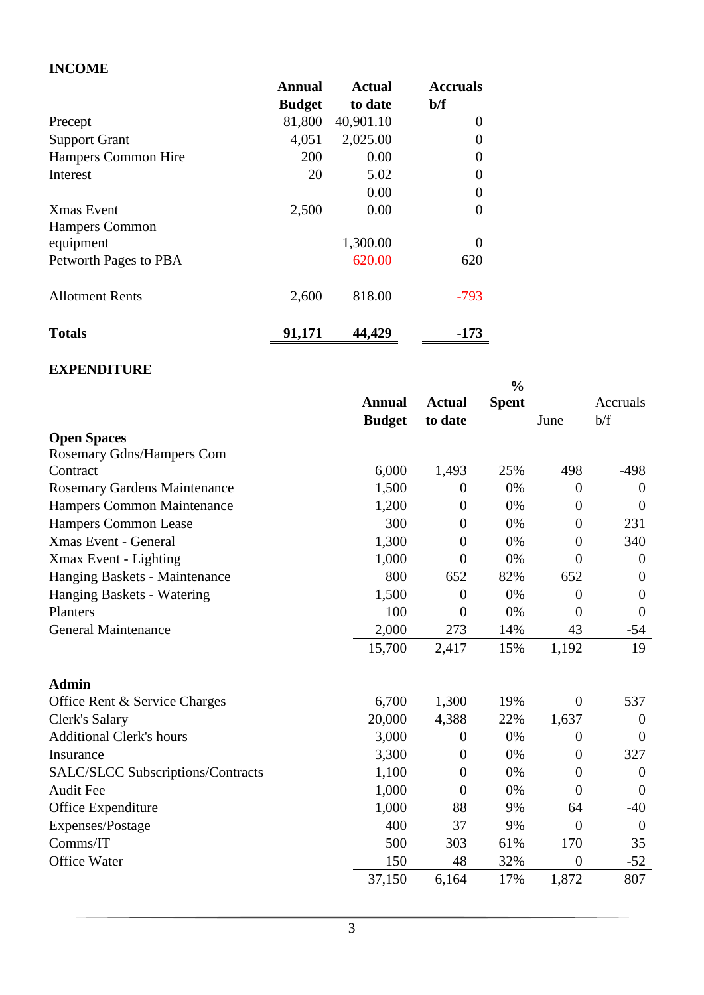#### **INCOME**

|                        | <b>Annual</b> | <b>Actual</b> | <b>Accruals</b> |
|------------------------|---------------|---------------|-----------------|
|                        | <b>Budget</b> | to date       | $b/f$           |
| Precept                | 81,800        | 40,901.10     | $\theta$        |
| <b>Support Grant</b>   | 4,051         | 2,025.00      |                 |
| Hampers Common Hire    | 200           | 0.00          | $\theta$        |
| Interest               | 20            | 5.02          | 0               |
|                        |               | 0.00          | $\Omega$        |
| <b>X</b> mas Event     | 2,500         | 0.00          | 0               |
| <b>Hampers Common</b>  |               |               |                 |
| equipment              |               | 1,300.00      | $\Omega$        |
| Petworth Pages to PBA  |               | 620.00        | 620             |
| <b>Allotment Rents</b> | 2,600         | 818.00        | $-793$          |
| <b>Totals</b>          | 91,171        | 44,429        | -173            |

#### **EXPENDITURE**

|                                          |               |                | $\frac{0}{0}$ |                  |                  |
|------------------------------------------|---------------|----------------|---------------|------------------|------------------|
|                                          | <b>Annual</b> | <b>Actual</b>  | <b>Spent</b>  |                  | Accruals         |
|                                          | <b>Budget</b> | to date        |               | June             | b/f              |
| <b>Open Spaces</b>                       |               |                |               |                  |                  |
| Rosemary Gdns/Hampers Com                |               |                |               |                  |                  |
| Contract                                 | 6,000         | 1,493          | 25%           | 498              | $-498$           |
| <b>Rosemary Gardens Maintenance</b>      | 1,500         | $\overline{0}$ | 0%            | $\theta$         | $\overline{0}$   |
| <b>Hampers Common Maintenance</b>        | 1,200         | $\theta$       | 0%            | $\theta$         | $\overline{0}$   |
| Hampers Common Lease                     | 300           | $\theta$       | 0%            | $\theta$         | 231              |
| <b>Xmas Event - General</b>              | 1,300         | $\theta$       | 0%            | $\theta$         | 340              |
| Xmax Event - Lighting                    | 1,000         | $\theta$       | 0%            | $\overline{0}$   | $\overline{0}$   |
| Hanging Baskets - Maintenance            | 800           | 652            | 82%           | 652              | $\overline{0}$   |
| Hanging Baskets - Watering               | 1,500         | $\theta$       | 0%            | $\boldsymbol{0}$ | $\boldsymbol{0}$ |
| Planters                                 | 100           | $\overline{0}$ | 0%            | $\overline{0}$   | $\mathbf{0}$     |
| <b>General Maintenance</b>               | 2,000         | 273            | 14%           | 43               | $-54$            |
|                                          | 15,700        | 2,417          | 15%           | 1,192            | 19               |
| <b>Admin</b>                             |               |                |               |                  |                  |
| Office Rent & Service Charges            | 6,700         | 1,300          | 19%           | $\theta$         | 537              |
| Clerk's Salary                           | 20,000        | 4,388          | 22%           | 1,637            | $\overline{0}$   |
| <b>Additional Clerk's hours</b>          | 3,000         | $\theta$       | 0%            | $\overline{0}$   | $\overline{0}$   |
| Insurance                                | 3,300         | $\theta$       | 0%            | $\boldsymbol{0}$ | 327              |
| <b>SALC/SLCC Subscriptions/Contracts</b> | 1,100         | $\theta$       | 0%            | $\theta$         | $\overline{0}$   |
| <b>Audit Fee</b>                         | 1,000         | $\theta$       | 0%            | $\theta$         | $\theta$         |
| Office Expenditure                       | 1,000         | 88             | 9%            | 64               | $-40$            |
| Expenses/Postage                         | 400           | 37             | 9%            | $\theta$         | $\overline{0}$   |
| Comms/IT                                 | 500           | 303            | 61%           | 170              | 35               |
| <b>Office Water</b>                      | 150           | 48             | 32%           | $\overline{0}$   | $-52$            |
|                                          | 37,150        | 6,164          | 17%           | 1,872            | 807              |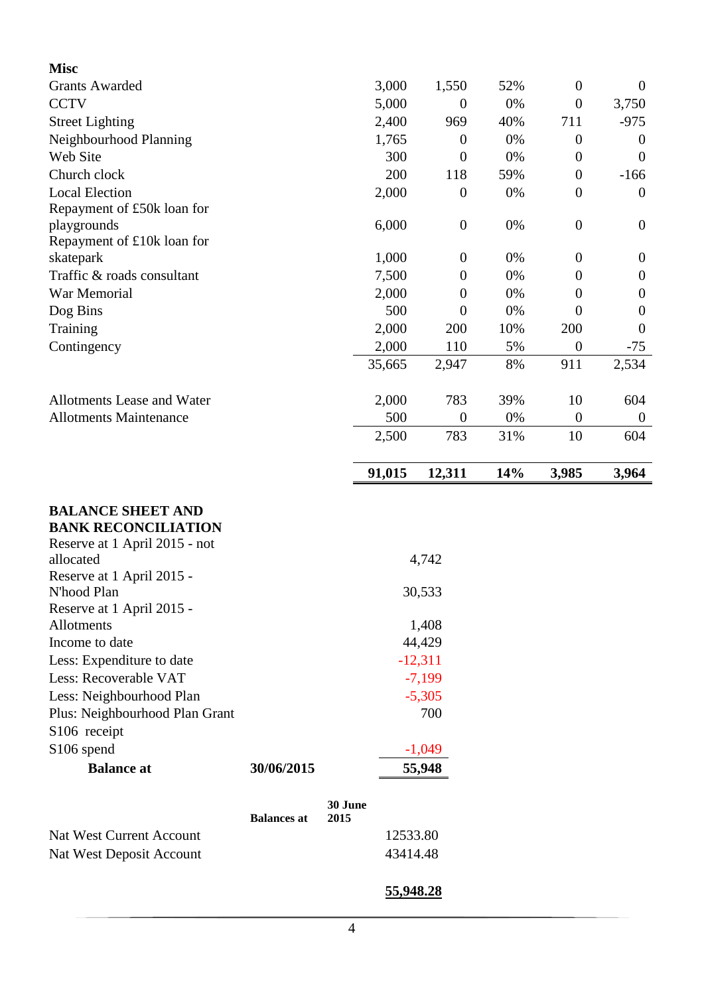| <b>Misc</b>                                |           |                  |     |                  |                  |
|--------------------------------------------|-----------|------------------|-----|------------------|------------------|
| <b>Grants Awarded</b>                      | 3,000     | 1,550            | 52% | $\boldsymbol{0}$ | $\overline{0}$   |
| <b>CCTV</b>                                | 5,000     | $\boldsymbol{0}$ | 0%  | $\boldsymbol{0}$ | 3,750            |
| <b>Street Lighting</b>                     | 2,400     | 969              | 40% | 711              | $-975$           |
| Neighbourhood Planning                     | 1,765     | $\overline{0}$   | 0%  | $\theta$         | $\overline{0}$   |
| Web Site                                   | 300       | $\overline{0}$   | 0%  | $\boldsymbol{0}$ | $\theta$         |
| Church clock                               | 200       | 118              | 59% | $\boldsymbol{0}$ | $-166$           |
| <b>Local Election</b>                      | 2,000     | $\boldsymbol{0}$ | 0%  | $\boldsymbol{0}$ | $\overline{0}$   |
| Repayment of £50k loan for                 |           |                  |     |                  |                  |
| playgrounds                                | 6,000     | $\boldsymbol{0}$ | 0%  | $\theta$         | $\boldsymbol{0}$ |
| Repayment of £10k loan for                 |           |                  |     |                  |                  |
| skatepark                                  | 1,000     | $\boldsymbol{0}$ | 0%  | $\boldsymbol{0}$ | $\boldsymbol{0}$ |
| Traffic & roads consultant                 | 7,500     | $\boldsymbol{0}$ | 0%  | $\theta$         | $\boldsymbol{0}$ |
| War Memorial                               | 2,000     | $\overline{0}$   | 0%  | $\theta$         | $\boldsymbol{0}$ |
| Dog Bins                                   | 500       | $\overline{0}$   | 0%  | $\theta$         | $\overline{0}$   |
| Training                                   | 2,000     | 200              | 10% | 200              | $\boldsymbol{0}$ |
| Contingency                                | 2,000     | 110              | 5%  | $\boldsymbol{0}$ | $-75$            |
|                                            | 35,665    | 2,947            | 8%  | 911              | 2,534            |
| Allotments Lease and Water                 | 2,000     | 783              | 39% | 10               | 604              |
| <b>Allotments Maintenance</b>              | 500       | $\boldsymbol{0}$ | 0%  | $\theta$         | $\theta$         |
|                                            | 2,500     | 783              | 31% | 10               | 604              |
|                                            | 91,015    | 12,311           | 14% | 3,985            | 3,964            |
| <b>BALANCE SHEET AND</b>                   |           |                  |     |                  |                  |
| <b>BANK RECONCILIATION</b>                 |           |                  |     |                  |                  |
| Reserve at 1 April 2015 - not<br>allocated |           | 4,742            |     |                  |                  |
| Reserve at 1 April 2015 -                  |           |                  |     |                  |                  |
| N'hood Plan                                | 30,533    |                  |     |                  |                  |
| Reserve at 1 April 2015 -                  |           |                  |     |                  |                  |
| Allotments                                 |           | 1,408            |     |                  |                  |
| Income to date                             | 44,429    |                  |     |                  |                  |
| Less: Expenditure to date                  | $-12,311$ |                  |     |                  |                  |
| Less: Recoverable VAT                      | $-7,199$  |                  |     |                  |                  |
| Less: Neighbourhood Plan                   | $-5,305$  |                  |     |                  |                  |
| Plus: Neighbourhood Plan Grant             | 700       |                  |     |                  |                  |
| S106 receipt                               |           |                  |     |                  |                  |
|                                            |           |                  |     |                  |                  |

| S <sub>106</sub> spend          |                    |                 | $-1,049$ |
|---------------------------------|--------------------|-----------------|----------|
| <b>Balance at</b>               | 30/06/2015         | 55,948          |          |
|                                 | <b>Balances at</b> | 30 June<br>2015 |          |
| <b>Nat West Current Account</b> |                    |                 | 12533.80 |
| Nat West Deposit Account        |                    |                 | 43414.48 |

# **55,948.28**